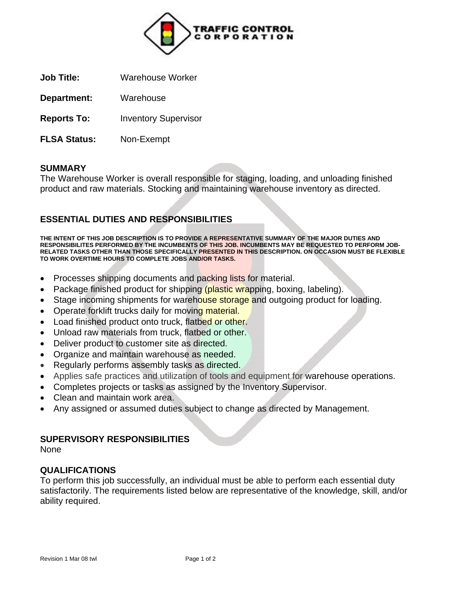

**Job Title:** Warehouse Worker

**Department:** Warehouse

**Reports To:** Inventory Supervisor

**FLSA Status:** Non-Exempt

### **SUMMARY**

The Warehouse Worker is overall responsible for staging, loading, and unloading finished product and raw materials. Stocking and maintaining warehouse inventory as directed.

# **ESSENTIAL DUTIES AND RESPONSIBILITIES**

**THE INTENT OF THIS JOB DESCRIPTION IS TO PROVIDE A REPRESENTATIVE SUMMARY OF THE MAJOR DUTIES AND RESPONSIBILITES PERFORMED BY THE INCUMBENTS OF THIS JOB. INCUMBENTS MAY BE REQUESTED TO PERFORM JOB-RELATED TASKS OTHER THAN THOSE SPECIFICALLY PRESENTED IN THIS DESCRIPTION. ON OCCASION MUST BE FLEXIBLE TO WORK OVERTIME HOURS TO COMPLETE JOBS AND/OR TASKS.**

- Processes shipping documents and packing lists for material.
- Package finished product for shipping (plastic wrapping, boxing, labeling).
- Stage incoming shipments for warehouse storage and outgoing product for loading.
- Operate forklift trucks daily for moving material.
- Load finished product onto truck, flatbed or other.
- Unload raw materials from truck, flatbed or other.
- Deliver product to customer site as directed.
- Organize and maintain warehouse as needed.
- Regularly performs assembly tasks as directed.
- Applies safe practices and utilization of tools and equipment for warehouse operations.
- Completes projects or tasks as assigned by the Inventory Supervisor.
- Clean and maintain work area.
- Any assigned or assumed duties subject to change as directed by Management.

### **SUPERVISORY RESPONSIBILITIES**

None

### **QUALIFICATIONS**

To perform this job successfully, an individual must be able to perform each essential duty satisfactorily. The requirements listed below are representative of the knowledge, skill, and/or ability required.